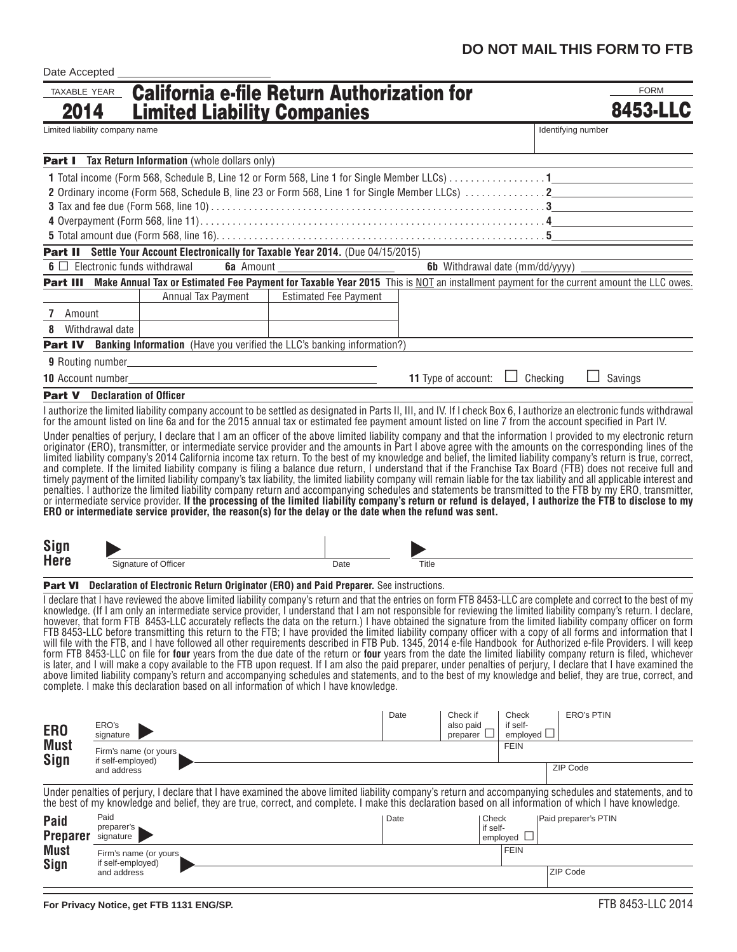| Date Accepted                        |                                             |                                                                                                                                                                                                                                                                                                                                        |                              |       |                                 |                   |                    |                      |  |
|--------------------------------------|---------------------------------------------|----------------------------------------------------------------------------------------------------------------------------------------------------------------------------------------------------------------------------------------------------------------------------------------------------------------------------------------|------------------------------|-------|---------------------------------|-------------------|--------------------|----------------------|--|
| TAXABLE YEAR                         |                                             | <b>California e-file Return Authorization for</b>                                                                                                                                                                                                                                                                                      |                              |       |                                 |                   |                    | <b>FORM</b>          |  |
| 2014                                 |                                             | <b>Limited Liability Companies</b>                                                                                                                                                                                                                                                                                                     |                              |       |                                 |                   |                    | <b>8453-LLC</b>      |  |
| Limited liability company name       |                                             |                                                                                                                                                                                                                                                                                                                                        |                              |       |                                 |                   |                    | Identifying number   |  |
|                                      |                                             |                                                                                                                                                                                                                                                                                                                                        |                              |       |                                 |                   |                    |                      |  |
|                                      |                                             | <b>Part I</b> Tax Return Information (whole dollars only)                                                                                                                                                                                                                                                                              |                              |       |                                 |                   |                    |                      |  |
|                                      |                                             |                                                                                                                                                                                                                                                                                                                                        |                              |       |                                 |                   |                    |                      |  |
|                                      |                                             |                                                                                                                                                                                                                                                                                                                                        |                              |       |                                 |                   |                    |                      |  |
|                                      |                                             |                                                                                                                                                                                                                                                                                                                                        |                              |       |                                 |                   |                    |                      |  |
|                                      |                                             |                                                                                                                                                                                                                                                                                                                                        |                              |       |                                 |                   |                    |                      |  |
|                                      |                                             |                                                                                                                                                                                                                                                                                                                                        |                              |       |                                 |                   |                    |                      |  |
|                                      |                                             | <b>Part II</b> Settle Your Account Electronically for Taxable Year 2014. (Due 04/15/2015)                                                                                                                                                                                                                                              |                              |       |                                 |                   |                    |                      |  |
|                                      |                                             | $\mathbf{6} \square$ Electronic funds withdrawal                                                                                                                                                                                                                                                                                       |                              |       |                                 |                   |                    |                      |  |
|                                      |                                             | Part III Make Annual Tax or Estimated Fee Payment for Taxable Year 2015 This is NOT an installment payment for the current amount the LLC owes.                                                                                                                                                                                        |                              |       |                                 |                   |                    |                      |  |
|                                      |                                             | Annual Tax Payment                                                                                                                                                                                                                                                                                                                     | <b>Estimated Fee Payment</b> |       |                                 |                   |                    |                      |  |
| $7^{\circ}$<br>Amount                |                                             |                                                                                                                                                                                                                                                                                                                                        |                              |       |                                 |                   |                    |                      |  |
| 8                                    | Withdrawal date                             |                                                                                                                                                                                                                                                                                                                                        |                              |       |                                 |                   |                    |                      |  |
|                                      |                                             | <b>Part IV</b> Banking Information (Have you verified the LLC's banking information?)                                                                                                                                                                                                                                                  |                              |       |                                 |                   |                    |                      |  |
|                                      |                                             |                                                                                                                                                                                                                                                                                                                                        |                              |       |                                 |                   |                    |                      |  |
|                                      |                                             |                                                                                                                                                                                                                                                                                                                                        |                              |       | <b>11</b> Type of account:      |                   | Checking           | Savings              |  |
| <b>Part V</b> Declaration of Officer |                                             |                                                                                                                                                                                                                                                                                                                                        |                              |       |                                 |                   |                    |                      |  |
|                                      |                                             | I authorize the limited liability company account to be settled as designated in Parts II, III, and IV. If I check Box 6, I authorize an electronic funds withdrawal<br>for the amount listed on line 6a and for the 2015 annual tax or estimated fee payment amount listed on line 7 from the account specified in Part IV.           |                              |       |                                 |                   |                    |                      |  |
|                                      |                                             | Under penalties of perjury, I declare that I am an officer of the above limited liability company and that the information I provided to my electronic return                                                                                                                                                                          |                              |       |                                 |                   |                    |                      |  |
|                                      |                                             | originator (ERO), transmitter, or intermediate service provider and the amounts in Part I above agree with the amounts on the corresponding lines of the                                                                                                                                                                               |                              |       |                                 |                   |                    |                      |  |
|                                      |                                             | limited liability company's 2014 California income tax return. To the best of my knowledge and belief, the limited liability company's return is true, correct,                                                                                                                                                                        |                              |       |                                 |                   |                    |                      |  |
|                                      |                                             | and complete. If the limited liability company is filing a balance due return, I understand that if the Franchise Tax Board (FTB) does not receive full and<br>timely payment of the limited liability company's tax liability, the limited liability company will remain liable for the tax liability and all applicable interest and |                              |       |                                 |                   |                    |                      |  |
|                                      |                                             | penalties. I authorize the limited liability company return and accompanying schedules and statements be transmitted to the FTB by my ERO, transmitter,                                                                                                                                                                                |                              |       |                                 |                   |                    |                      |  |
|                                      |                                             | or intermediate service provider. If the processing of the limited liability company's return or refund is delayed, I authorize the FTB to disclose to my<br>ERO or intermediate service provider, the reason(s) for the delay or the date when the refund was sent.                                                                   |                              |       |                                 |                   |                    |                      |  |
|                                      |                                             |                                                                                                                                                                                                                                                                                                                                        |                              |       |                                 |                   |                    |                      |  |
| Sign                                 |                                             |                                                                                                                                                                                                                                                                                                                                        |                              |       |                                 |                   |                    |                      |  |
| <b>Here</b>                          |                                             | <u> 1980 - Johann Barbara, martin a</u>                                                                                                                                                                                                                                                                                                | $\overline{Date}$            |       |                                 |                   |                    |                      |  |
|                                      |                                             | Signature of Officer                                                                                                                                                                                                                                                                                                                   |                              | Title |                                 |                   |                    |                      |  |
|                                      |                                             | Part VI Declaration of Electronic Return Originator (ERO) and Paid Preparer. See instructions.                                                                                                                                                                                                                                         |                              |       |                                 |                   |                    |                      |  |
|                                      |                                             | I declare that I have reviewed the above limited liability company's return and that the entries on form FTB 8453-LLC are complete and correct to the best of my                                                                                                                                                                       |                              |       |                                 |                   |                    |                      |  |
|                                      |                                             | knowledge. (If I am only an intermediate service provider, I understand that I am not responsible for reviewing the limited liability company's return. I declare,<br>however, that form FTB 8453-LLC accurately reflects the data on the return.) I have obtained the signature from the limited liability company officer on form    |                              |       |                                 |                   |                    |                      |  |
|                                      |                                             | FTB 8453-LLC before transmitting this return to the FTB; I have provided the limited liability company officer with a copy of all forms and information that I                                                                                                                                                                         |                              |       |                                 |                   |                    |                      |  |
|                                      |                                             | will file with the FTB, and I have followed all other requirements described in FTB Pub. 1345, 2014 e-file Handbook for Authorized e-file Providers. I will keep<br>form FTB 8453-LLC on file for four years from the due date of the return or four years from the date the limited liability company return is filed, whichever      |                              |       |                                 |                   |                    |                      |  |
|                                      |                                             | is later, and I will make a copy available to the FTB upon request. If I am also the paid preparer, under penalties of perjury, I declare that I have examined the                                                                                                                                                                     |                              |       |                                 |                   |                    |                      |  |
|                                      |                                             | above limited liability company's return and accompanying schedules and statements, and to the best of my knowledge and belief, they are true, correct, and<br>complete. I make this declaration based on all information of which I have knowledge.                                                                                   |                              |       |                                 |                   |                    |                      |  |
|                                      |                                             |                                                                                                                                                                                                                                                                                                                                        |                              |       |                                 |                   |                    |                      |  |
|                                      |                                             |                                                                                                                                                                                                                                                                                                                                        |                              | Date  | Check if                        | Check             |                    | <b>ERO's PTIN</b>    |  |
| ER <sub>0</sub>                      | ERO's<br>signature                          |                                                                                                                                                                                                                                                                                                                                        |                              |       | also paid<br>preparer $\square$ | if self-          | employed $\square$ |                      |  |
| <b>Must</b>                          |                                             |                                                                                                                                                                                                                                                                                                                                        |                              |       |                                 | <b>FEIN</b>       |                    |                      |  |
| Sign                                 | Firm's name (or yours,<br>if self-employed) |                                                                                                                                                                                                                                                                                                                                        |                              |       |                                 |                   |                    |                      |  |
|                                      | and address                                 |                                                                                                                                                                                                                                                                                                                                        |                              |       |                                 |                   |                    | ZIP Code             |  |
|                                      |                                             | Under penalties of perjury, I declare that I have examined the above limited liability company's return and accompanying schedules and statements, and to                                                                                                                                                                              |                              |       |                                 |                   |                    |                      |  |
|                                      |                                             | the best of my knowledge and belief, they are true, correct, and complete. I make this declaration based on all information of which I have knowledge.                                                                                                                                                                                 |                              |       |                                 |                   |                    |                      |  |
| <b>Paid</b>                          | Paid<br>preparer's                          |                                                                                                                                                                                                                                                                                                                                        |                              | Date  |                                 | Check<br>if self- |                    | Paid preparer's PTIN |  |
| <b>Preparer</b>                      | signature                                   |                                                                                                                                                                                                                                                                                                                                        |                              |       |                                 | employed $\Box$   |                    |                      |  |
| <b>Must</b>                          | Firm's name (or yours                       |                                                                                                                                                                                                                                                                                                                                        |                              |       |                                 | <b>FEIN</b>       |                    |                      |  |
| <b>Sign</b>                          | if self-employed)<br>and address            |                                                                                                                                                                                                                                                                                                                                        |                              |       |                                 |                   |                    | ZIP Code             |  |
|                                      |                                             |                                                                                                                                                                                                                                                                                                                                        |                              |       |                                 |                   |                    |                      |  |